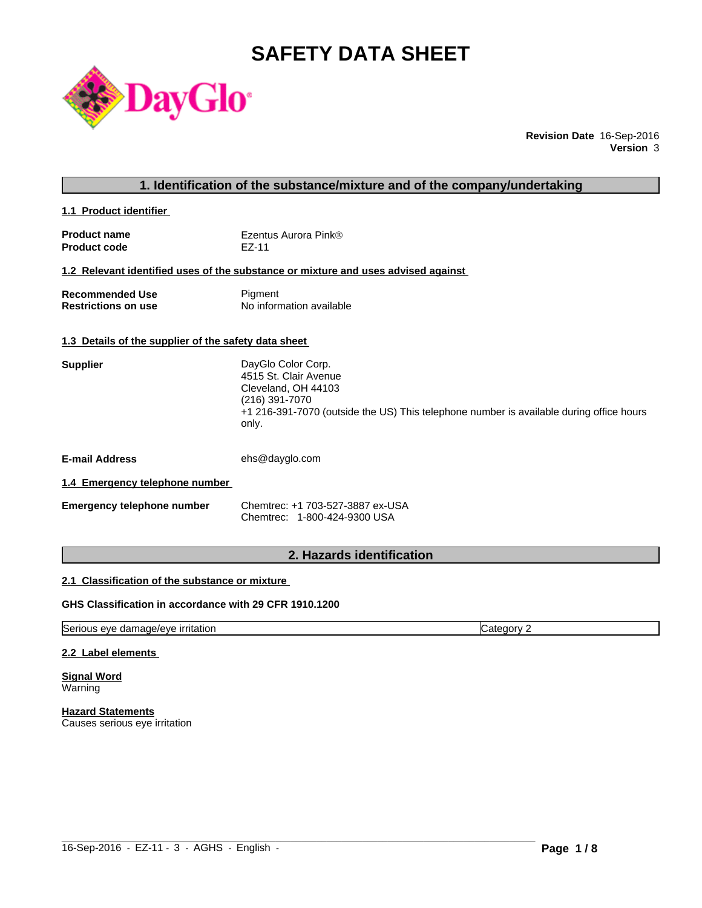# **SAFETY DATA SHEET**



**Revision Date** 16-Sep-2016 **Version** 3

# **1. Identification of the substance/mixture and of the company/undertaking**

**1.1 Product identifier** 

| <b>Product name</b> | Ezentus Aurora Pink® |
|---------------------|----------------------|
| <b>Product code</b> | EZ-11                |

#### **1.2 Relevant identified uses of the substance or mixture and uses advised against**

| Recommended Use            | Pigment                  |
|----------------------------|--------------------------|
| <b>Restrictions on use</b> | No information available |

#### **1.3 Details of the supplier of the safety data sheet**

| DayGlo Color Corp.                                                                      |
|-----------------------------------------------------------------------------------------|
| 4515 St. Clair Avenue                                                                   |
| Cleveland, OH 44103                                                                     |
| (216) 391-7070                                                                          |
| +1 216-391-7070 (outside the US) This telephone number is available during office hours |
| only.                                                                                   |
|                                                                                         |

**E-mail Address** ehs@dayglo.com

# **1.4 Emergency telephone number**

| Emergency telephone number | Chemtrec: +1 703-527-3887 ex-USA |
|----------------------------|----------------------------------|
|                            | Chemtrec: 1-800-424-9300 USA     |

# **2. Hazards identification**

# **2.1 Classification of the substance or mixture**

# **GHS Classification in accordance with 29 CFR 1910.1200**

Serious eye damage/eye irritation Category 2

#### **2.2 Label elements**

**Signal Word Warning** 

**Hazard Statements** Causes serious eye irritation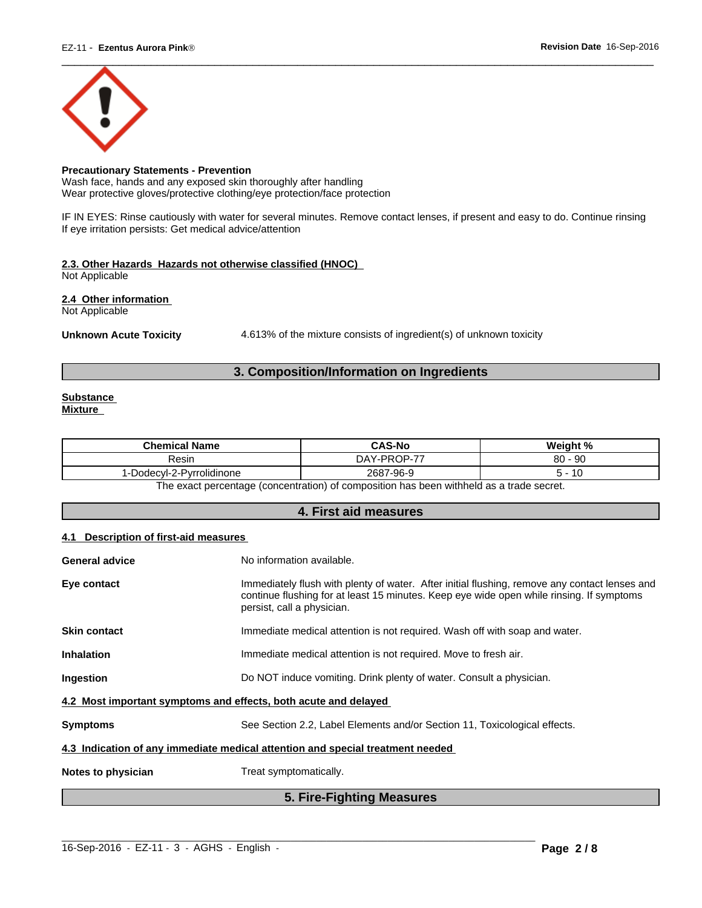

# **Precautionary Statements - Prevention**

Wash face, hands and any exposed skin thoroughly after handling Wear protective gloves/protective clothing/eye protection/face protection

IF IN EYES: Rinse cautiously with water for several minutes. Remove contact lenses, if present and easy to do. Continue rinsing If eye irritation persists: Get medical advice/attention

# **2.3. Other Hazards Hazards not otherwise classified (HNOC)**

Not Applicable

**2.4 Other information** 

Not Applicable

Unknown Acute Toxicity **4.613%** of the mixture consists of ingredient(s) of unknown toxicity

# **3. Composition/Information on Ingredients**

#### **Substance Mixture**

| /-PROP-7<br>80<br>$-90$<br>. – –<br>DAY<br>Resin<br>Dodecvl-2-Pvrrolidinone<br>7-96-9<br>2687<br>יש<br>- 11 | <b>Chemical Name</b> | <b>CAS-No</b> | $M$ ainht % |
|-------------------------------------------------------------------------------------------------------------|----------------------|---------------|-------------|
|                                                                                                             |                      |               |             |
|                                                                                                             |                      |               |             |

The exact percentage (concentration) of composition has been withheld as a trade secret.

# **4. First aid measures**

# **4.1 Description of first-aid measures**

| <b>General advice</b>                                                          | No information available.                                                                                                                                                                                               |  |  |
|--------------------------------------------------------------------------------|-------------------------------------------------------------------------------------------------------------------------------------------------------------------------------------------------------------------------|--|--|
| Eye contact                                                                    | Immediately flush with plenty of water. After initial flushing, remove any contact lenses and<br>continue flushing for at least 15 minutes. Keep eye wide open while rinsing. If symptoms<br>persist, call a physician. |  |  |
| <b>Skin contact</b>                                                            | Immediate medical attention is not required. Wash off with soap and water.                                                                                                                                              |  |  |
| <b>Inhalation</b>                                                              | Immediate medical attention is not required. Move to fresh air.                                                                                                                                                         |  |  |
| Ingestion                                                                      | Do NOT induce vomiting. Drink plenty of water. Consult a physician.                                                                                                                                                     |  |  |
| 4.2 Most important symptoms and effects, both acute and delayed                |                                                                                                                                                                                                                         |  |  |
| <b>Symptoms</b>                                                                | See Section 2.2, Label Elements and/or Section 11, Toxicological effects.                                                                                                                                               |  |  |
| 4.3 Indication of any immediate medical attention and special treatment needed |                                                                                                                                                                                                                         |  |  |
| Notes to physician                                                             | Treat symptomatically.                                                                                                                                                                                                  |  |  |
|                                                                                |                                                                                                                                                                                                                         |  |  |

# **5. Fire-Fighting Measures**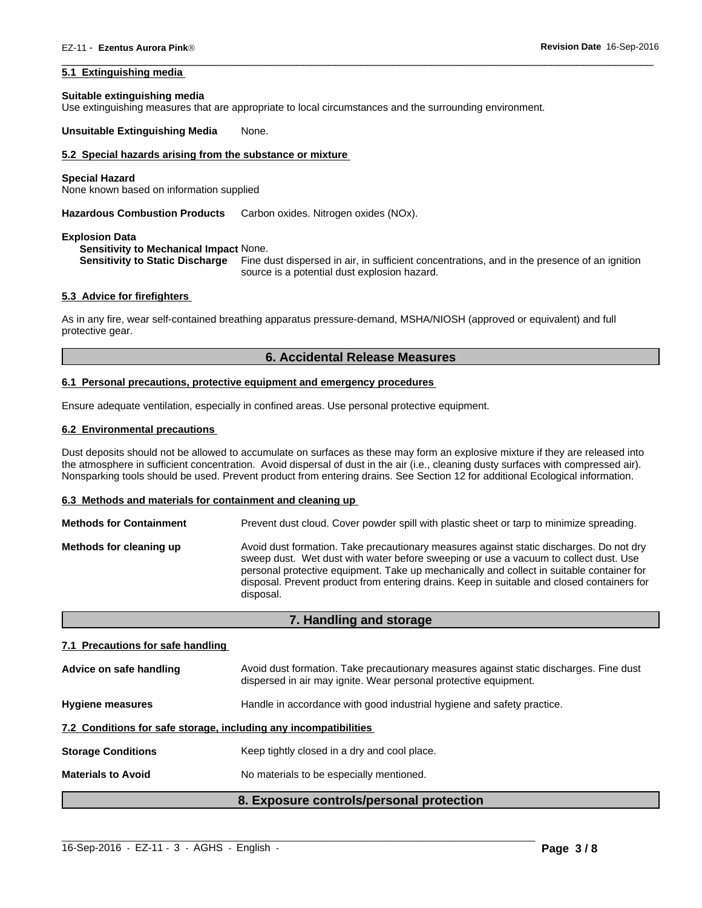# **5.1 Extinguishing media**

#### **Suitable extinguishing media**

Use extinguishing measures that are appropriate to local circumstances and the surrounding environment.

**Unsuitable Extinguishing Media** None.

# **5.2 Special hazards arising from the substance or mixture**

#### **Special Hazard**

None known based on information supplied

**Hazardous Combustion Products** Carbon oxides. Nitrogen oxides (NOx).

#### **Explosion Data**

#### **Sensitivity to Mechanical Impact** None.

**Sensitivity to Static Discharge** Fine dust dispersed in air, in sufficient concentrations, and in the presence of an ignition source is a potential dust explosion hazard.

 $\overline{\phantom{a}}$  ,  $\overline{\phantom{a}}$  ,  $\overline{\phantom{a}}$  ,  $\overline{\phantom{a}}$  ,  $\overline{\phantom{a}}$  ,  $\overline{\phantom{a}}$  ,  $\overline{\phantom{a}}$  ,  $\overline{\phantom{a}}$  ,  $\overline{\phantom{a}}$  ,  $\overline{\phantom{a}}$  ,  $\overline{\phantom{a}}$  ,  $\overline{\phantom{a}}$  ,  $\overline{\phantom{a}}$  ,  $\overline{\phantom{a}}$  ,  $\overline{\phantom{a}}$  ,  $\overline{\phantom{a}}$ 

#### **5.3 Advice for firefighters**

As in any fire, wear self-contained breathing apparatus pressure-demand, MSHA/NIOSH (approved or equivalent) and full protective gear.

#### **6. Accidental Release Measures**

#### **6.1 Personal precautions, protective equipment and emergency procedures**

Ensure adequate ventilation, especially in confined areas. Use personal protective equipment.

#### **6.2 Environmental precautions**

Dust deposits should not be allowed to accumulate on surfaces as these may form an explosive mixture if they are released into the atmosphere in sufficient concentration. Avoid dispersal of dust in the air (i.e., cleaning dusty surfaces with compressed air). Nonsparking tools should be used. Prevent product from entering drains. See Section 12 for additional Ecological information.

#### **6.3 Methods and materials for containment and cleaning up**

| <b>Methods for Containment</b> | Prevent dust cloud. Cover powder spill with plastic sheet or tarp to minimize spreading.                                                                                                                                                                                                                                                                                                |
|--------------------------------|-----------------------------------------------------------------------------------------------------------------------------------------------------------------------------------------------------------------------------------------------------------------------------------------------------------------------------------------------------------------------------------------|
| Methods for cleaning up        | Avoid dust formation. Take precautionary measures against static discharges. Do not dry<br>sweep dust. Wet dust with water before sweeping or use a vacuum to collect dust. Use<br>personal protective equipment. Take up mechanically and collect in suitable container for<br>disposal. Prevent product from entering drains. Keep in suitable and closed containers for<br>disposal. |

#### **7. Handling and storage**

#### **7.1 Precautions for safe handling**

|                                                                                                   | 8. Exposure controls/personal protection                                                                                                                   |  |
|---------------------------------------------------------------------------------------------------|------------------------------------------------------------------------------------------------------------------------------------------------------------|--|
| <b>Materials to Avoid</b>                                                                         | No materials to be especially mentioned.                                                                                                                   |  |
| <b>Storage Conditions</b>                                                                         | Keep tightly closed in a dry and cool place.                                                                                                               |  |
| 7.2 Conditions for safe storage, including any incompatibilities                                  |                                                                                                                                                            |  |
| Handle in accordance with good industrial hygiene and safety practice.<br><b>Hygiene measures</b> |                                                                                                                                                            |  |
| Advice on safe handling                                                                           | Avoid dust formation. Take precautionary measures against static discharges. Fine dust<br>dispersed in air may ignite. Wear personal protective equipment. |  |

 $\_$  ,  $\_$  ,  $\_$  ,  $\_$  ,  $\_$  ,  $\_$  ,  $\_$  ,  $\_$  ,  $\_$  ,  $\_$  ,  $\_$  ,  $\_$  ,  $\_$  ,  $\_$  ,  $\_$  ,  $\_$  ,  $\_$  ,  $\_$  ,  $\_$  ,  $\_$  ,  $\_$  ,  $\_$  ,  $\_$  ,  $\_$  ,  $\_$  ,  $\_$  ,  $\_$  ,  $\_$  ,  $\_$  ,  $\_$  ,  $\_$  ,  $\_$  ,  $\_$  ,  $\_$  ,  $\_$  ,  $\_$  ,  $\_$  ,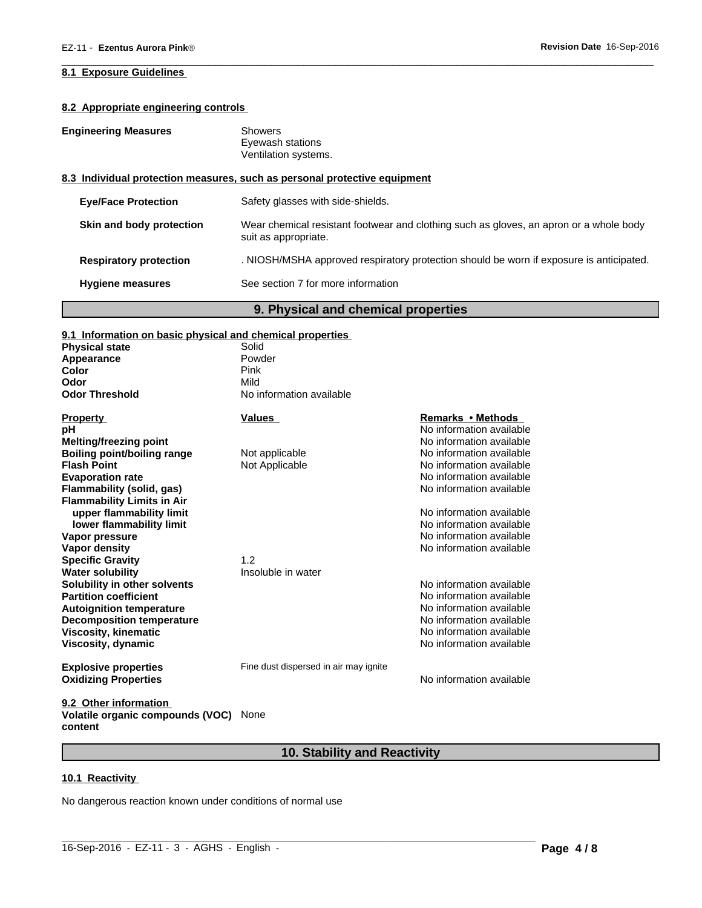# **8.1 Exposure Guidelines**

# **8.2 Appropriate engineering controls**

| <b>Engineering Measures</b>                                               |                               | <b>Showers</b><br>Eyewash stations<br>Ventilation systems.                                                     |  |
|---------------------------------------------------------------------------|-------------------------------|----------------------------------------------------------------------------------------------------------------|--|
| 8.3 Individual protection measures, such as personal protective equipment |                               |                                                                                                                |  |
|                                                                           | <b>Eve/Face Protection</b>    | Safety glasses with side-shields.                                                                              |  |
|                                                                           | Skin and body protection      | Wear chemical resistant footwear and clothing such as gloves, an apron or a whole body<br>suit as appropriate. |  |
|                                                                           | <b>Respiratory protection</b> | . NIOSH/MSHA approved respiratory protection should be worn if exposure is anticipated.                        |  |
|                                                                           | <b>Hygiene measures</b>       | See section 7 for more information                                                                             |  |

 $\overline{\phantom{a}}$  ,  $\overline{\phantom{a}}$  ,  $\overline{\phantom{a}}$  ,  $\overline{\phantom{a}}$  ,  $\overline{\phantom{a}}$  ,  $\overline{\phantom{a}}$  ,  $\overline{\phantom{a}}$  ,  $\overline{\phantom{a}}$  ,  $\overline{\phantom{a}}$  ,  $\overline{\phantom{a}}$  ,  $\overline{\phantom{a}}$  ,  $\overline{\phantom{a}}$  ,  $\overline{\phantom{a}}$  ,  $\overline{\phantom{a}}$  ,  $\overline{\phantom{a}}$  ,  $\overline{\phantom{a}}$ 

# **9. Physical and chemical properties**

| 9.1 Information on basic physical and chemical properties |                                       |                          |
|-----------------------------------------------------------|---------------------------------------|--------------------------|
| <b>Physical state</b>                                     | Solid                                 |                          |
| Appearance                                                | Powder                                |                          |
| Color                                                     | Pink                                  |                          |
| Odor                                                      | Mild                                  |                          |
| <b>Odor Threshold</b>                                     | No information available              |                          |
| <b>Property</b>                                           | <b>Values</b>                         | Remarks • Methods        |
| рH                                                        |                                       | No information available |
| <b>Melting/freezing point</b>                             |                                       | No information available |
| <b>Boiling point/boiling range</b>                        | Not applicable                        | No information available |
| <b>Flash Point</b>                                        | Not Applicable                        | No information available |
| <b>Evaporation rate</b>                                   |                                       | No information available |
| <b>Flammability (solid, gas)</b>                          |                                       | No information available |
| <b>Flammability Limits in Air</b>                         |                                       |                          |
| upper flammability limit                                  |                                       | No information available |
| lower flammability limit                                  |                                       | No information available |
| Vapor pressure                                            |                                       | No information available |
| Vapor density                                             |                                       | No information available |
| <b>Specific Gravity</b>                                   | 1.2                                   |                          |
| <b>Water solubility</b>                                   | Insoluble in water                    |                          |
| Solubility in other solvents                              |                                       | No information available |
| <b>Partition coefficient</b>                              |                                       | No information available |
| <b>Autoignition temperature</b>                           |                                       | No information available |
| <b>Decomposition temperature</b>                          |                                       | No information available |
| <b>Viscosity, kinematic</b>                               |                                       | No information available |
| Viscosity, dynamic                                        |                                       | No information available |
| <b>Explosive properties</b>                               | Fine dust dispersed in air may ignite |                          |
| <b>Oxidizing Properties</b>                               |                                       | No information available |
| 9.2 Other information                                     |                                       |                          |

**Volatile organic compounds (VOC)** None **content**

# **10. Stability and Reactivity**

 $\_$  ,  $\_$  ,  $\_$  ,  $\_$  ,  $\_$  ,  $\_$  ,  $\_$  ,  $\_$  ,  $\_$  ,  $\_$  ,  $\_$  ,  $\_$  ,  $\_$  ,  $\_$  ,  $\_$  ,  $\_$  ,  $\_$  ,  $\_$  ,  $\_$  ,  $\_$  ,  $\_$  ,  $\_$  ,  $\_$  ,  $\_$  ,  $\_$  ,  $\_$  ,  $\_$  ,  $\_$  ,  $\_$  ,  $\_$  ,  $\_$  ,  $\_$  ,  $\_$  ,  $\_$  ,  $\_$  ,  $\_$  ,  $\_$  ,

# **10.1 Reactivity**

No dangerous reaction known under conditions of normal use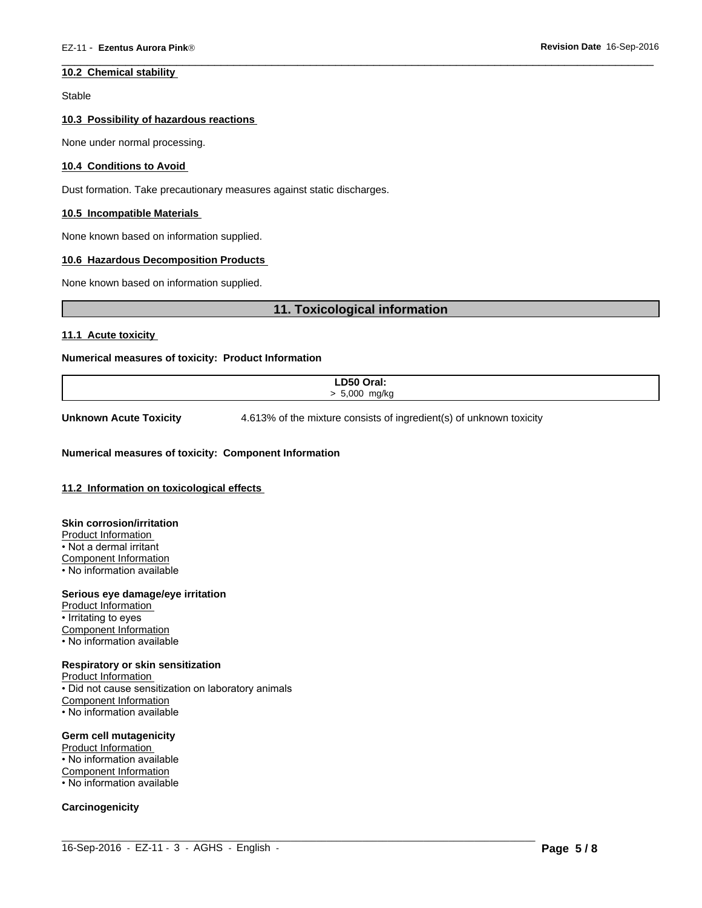#### **10.2 Chemical stability**

Stable

#### **10.3 Possibility of hazardous reactions**

None under normal processing.

#### **10.4 Conditions to Avoid**

Dust formation. Take precautionary measures against static discharges.

#### **10.5 Incompatible Materials**

None known based on information supplied.

#### **10.6 Hazardous Decomposition Products**

None known based on information supplied.

# **11. Toxicological information**

**11.1 Acute toxicity** 

#### **Numerical measures of toxicity: Product Information**

| LD50 Oral:        |
|-------------------|
| $5000$ .<br>mg/kg |
|                   |
|                   |

 $\_$  ,  $\_$  ,  $\_$  ,  $\_$  ,  $\_$  ,  $\_$  ,  $\_$  ,  $\_$  ,  $\_$  ,  $\_$  ,  $\_$  ,  $\_$  ,  $\_$  ,  $\_$  ,  $\_$  ,  $\_$  ,  $\_$  ,  $\_$  ,  $\_$  ,  $\_$  ,  $\_$  ,  $\_$  ,  $\_$  ,  $\_$  ,  $\_$  ,  $\_$  ,  $\_$  ,  $\_$  ,  $\_$  ,  $\_$  ,  $\_$  ,  $\_$  ,  $\_$  ,  $\_$  ,  $\_$  ,  $\_$  ,  $\_$  ,

**Unknown Acute Toxicity** 4.613% of the mixture consists of ingredient(s) of unknown toxicity

 $\overline{\phantom{a}}$  ,  $\overline{\phantom{a}}$  ,  $\overline{\phantom{a}}$  ,  $\overline{\phantom{a}}$  ,  $\overline{\phantom{a}}$  ,  $\overline{\phantom{a}}$  ,  $\overline{\phantom{a}}$  ,  $\overline{\phantom{a}}$  ,  $\overline{\phantom{a}}$  ,  $\overline{\phantom{a}}$  ,  $\overline{\phantom{a}}$  ,  $\overline{\phantom{a}}$  ,  $\overline{\phantom{a}}$  ,  $\overline{\phantom{a}}$  ,  $\overline{\phantom{a}}$  ,  $\overline{\phantom{a}}$ 

#### **Numerical measures of toxicity: Component Information**

#### **11.2 Information on toxicological effects**

**Skin corrosion/irritation** Product Information • Not a dermal irritant Component Information • No information available

#### **Serious eye damage/eye irritation**

Product Information • Irritating to eyes Component Information • No information available

#### **Respiratory or skin sensitization**

Product Information • Did not cause sensitization on laboratory animals Component Information • No information available

#### **Germ cell mutagenicity**

Product Information • No information available Component Information • No information available

#### **Carcinogenicity**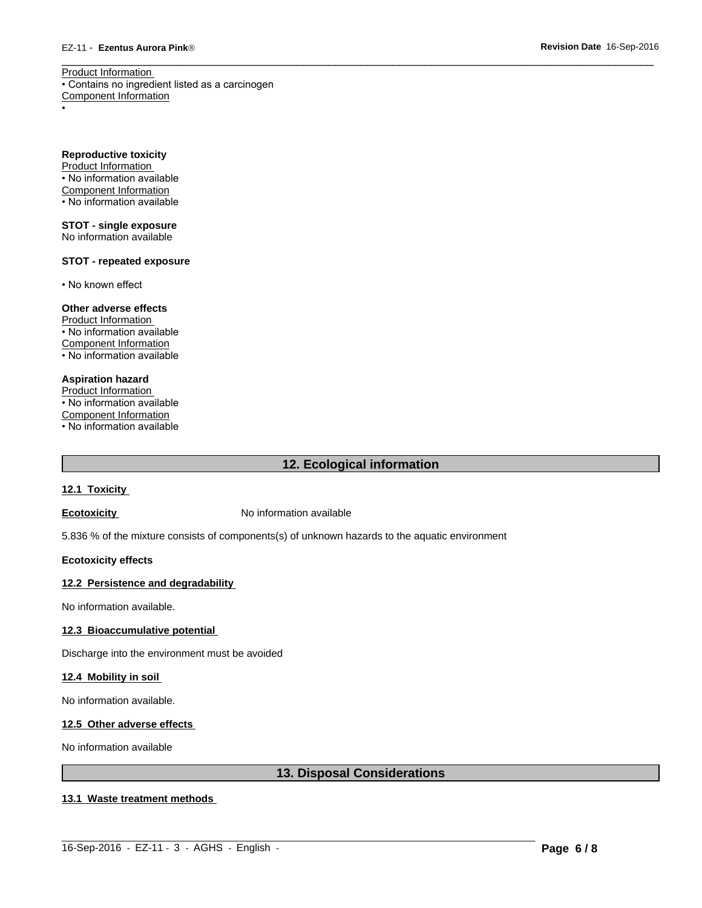Product Information • Contains no ingredient listed as a carcinogen Component Information

• Production of the contract of the contract of the contract of the contract of the contract of the contract of

**Reproductive toxicity** Product Information • No information available

Component Information • No information available

**STOT - single exposure** No information available

# **STOT - repeated exposure**

• No known effect

# **Other adverse effects**

Product Information • No information available Component Information • No information available

# **Aspiration hazard**

Product Information • No information available Component Information

• No information available

# **12. Ecological information**

 $\overline{\phantom{a}}$  ,  $\overline{\phantom{a}}$  ,  $\overline{\phantom{a}}$  ,  $\overline{\phantom{a}}$  ,  $\overline{\phantom{a}}$  ,  $\overline{\phantom{a}}$  ,  $\overline{\phantom{a}}$  ,  $\overline{\phantom{a}}$  ,  $\overline{\phantom{a}}$  ,  $\overline{\phantom{a}}$  ,  $\overline{\phantom{a}}$  ,  $\overline{\phantom{a}}$  ,  $\overline{\phantom{a}}$  ,  $\overline{\phantom{a}}$  ,  $\overline{\phantom{a}}$  ,  $\overline{\phantom{a}}$ 

#### **12.1 Toxicity**

**Ecotoxicity No information available** 

5.836 % of the mixture consists of components(s) of unknown hazards to the aquatic environment

#### **Ecotoxicity effects**

#### **12.2 Persistence and degradability**

No information available.

### **12.3 Bioaccumulative potential**

Discharge into the environment must be avoided

#### **12.4 Mobility in soil**

No information available.

#### **12.5 Other adverse effects**

No information available

# **13. Disposal Considerations**

#### **13.1 Waste treatment methods**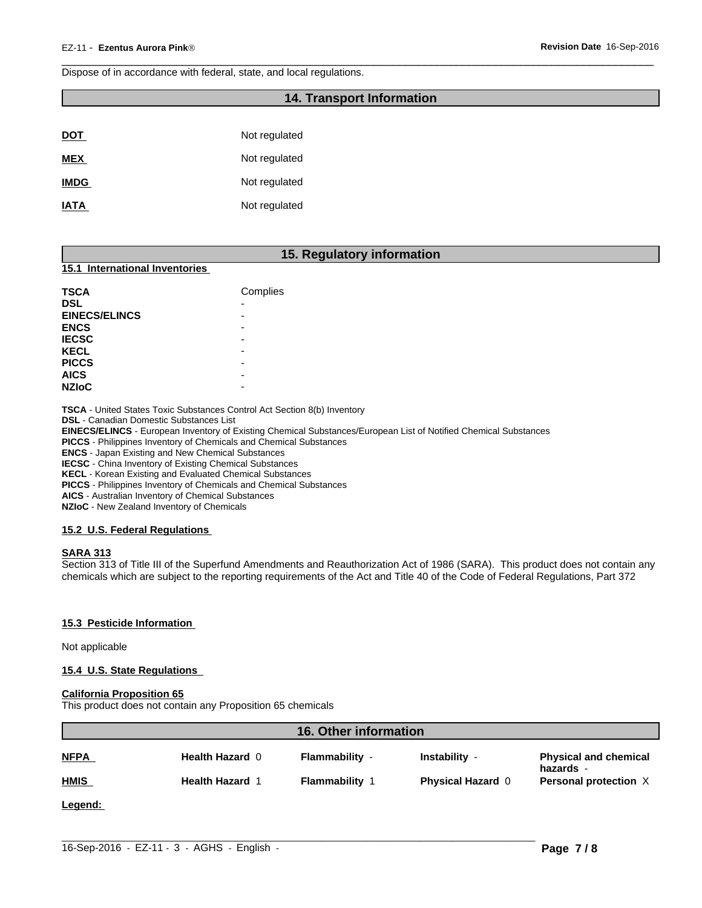Dispose of in accordance with federal, state, and local regulations.

# **14. Transport Information**

 $\overline{\phantom{a}}$  ,  $\overline{\phantom{a}}$  ,  $\overline{\phantom{a}}$  ,  $\overline{\phantom{a}}$  ,  $\overline{\phantom{a}}$  ,  $\overline{\phantom{a}}$  ,  $\overline{\phantom{a}}$  ,  $\overline{\phantom{a}}$  ,  $\overline{\phantom{a}}$  ,  $\overline{\phantom{a}}$  ,  $\overline{\phantom{a}}$  ,  $\overline{\phantom{a}}$  ,  $\overline{\phantom{a}}$  ,  $\overline{\phantom{a}}$  ,  $\overline{\phantom{a}}$  ,  $\overline{\phantom{a}}$ 

| <b>DOT</b>  | Not regulated |
|-------------|---------------|
| <b>MEX</b>  | Not regulated |
| <b>IMDG</b> | Not regulated |
| <b>IATA</b> | Not regulated |

# **15. Regulatory information**

#### **15.1 International Inventories**

| <b>TSCA</b>          | Complies                 |
|----------------------|--------------------------|
| <b>DSL</b>           | $\overline{\phantom{0}}$ |
| <b>EINECS/ELINCS</b> | ۰                        |
| <b>ENCS</b>          | ۰                        |
| <b>IECSC</b>         | ۰                        |
| <b>KECL</b>          | -                        |
| <b>PICCS</b>         | -                        |
| <b>AICS</b>          | -                        |
| <b>NZIOC</b>         | -                        |

**TSCA** - United States Toxic Substances Control Act Section 8(b) Inventory

**DSL** - Canadian Domestic Substances List

**EINECS/ELINCS** - European Inventory of Existing Chemical Substances/European List of Notified Chemical Substances

**PICCS** - Philippines Inventory of Chemicals and Chemical Substances

**ENCS** - Japan Existing and New Chemical Substances

**IECSC** - China Inventory of Existing Chemical Substances

**KECL** - Korean Existing and Evaluated Chemical Substances

**PICCS** - Philippines Inventory of Chemicals and Chemical Substances

**AICS** - Australian Inventory of Chemical Substances **NZIoC** - New Zealand Inventory of Chemicals

# **15.2 U.S. Federal Regulations**

#### **SARA 313**

Section 313 of Title III of the Superfund Amendments and Reauthorization Act of 1986 (SARA). This product does not contain any chemicals which are subject to the reporting requirements of the Act and Title 40 of the Code of Federal Regulations, Part 372

#### **15.3 Pesticide Information**

Not applicable

#### **15.4 U.S. State Regulations**

#### **California Proposition 65**

This product does not contain any Proposition 65 chemicals

| <b>16. Other information</b> |                      |                       |                          |                                           |
|------------------------------|----------------------|-----------------------|--------------------------|-------------------------------------------|
| <b>NFPA</b>                  | Health Hazard 0      | Flammability -        | Instability -            | <b>Physical and chemical</b><br>hazards - |
| <b>HMIS</b>                  | <b>Health Hazard</b> | <b>Flammability 1</b> | <b>Physical Hazard 0</b> | Personal protection X                     |
| Legend:                      |                      |                       |                          |                                           |
|                              |                      |                       |                          |                                           |